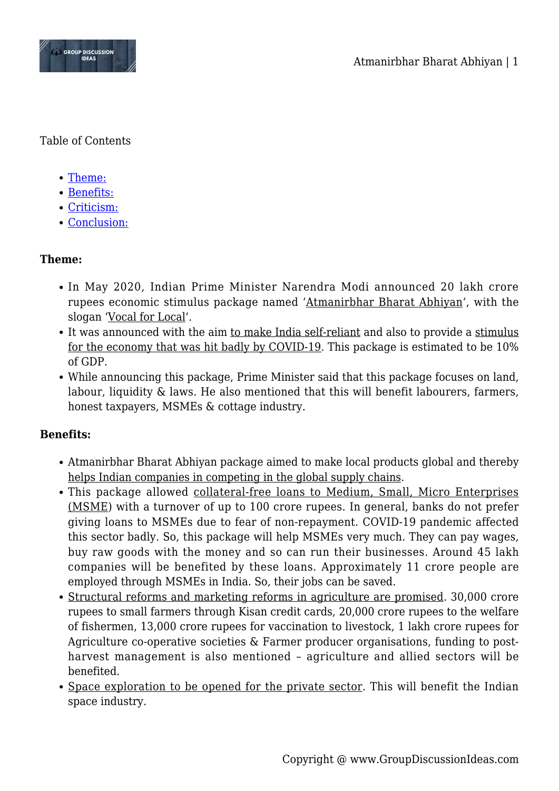

Table of Contents

- [Theme:](#page--1-0)
- [Benefits:](#page--1-0)
- [Criticism:](#page--1-0)
- [Conclusion:](#page--1-0)

# **Theme:**

- In May 2020, Indian Prime Minister Narendra Modi announced 20 lakh crore rupees economic stimulus package named 'Atmanirbhar Bharat Abhiyan', with the slogan 'Vocal for Local'.
- It was announced with the aim to make India self-reliant and also to provide a stimulus for the economy that was hit badly by COVID-19. This package is estimated to be 10% of GDP.
- While announcing this package, Prime Minister said that this package focuses on land, labour, liquidity & laws. He also mentioned that this will benefit labourers, farmers, honest taxpayers, MSMEs & cottage industry.

### **Benefits:**

- Atmanirbhar Bharat Abhiyan package aimed to make local products global and thereby helps Indian companies in competing in the global supply chains.
- This package allowed collateral-free loans to Medium, Small, Micro Enterprises (MSME) with a turnover of up to 100 crore rupees. In general, banks do not prefer giving loans to MSMEs due to fear of non-repayment. COVID-19 pandemic affected this sector badly. So, this package will help MSMEs very much. They can pay wages, buy raw goods with the money and so can run their businesses. Around 45 lakh companies will be benefited by these loans. Approximately 11 crore people are employed through MSMEs in India. So, their jobs can be saved.
- Structural reforms and marketing reforms in agriculture are promised. 30,000 crore rupees to small farmers through Kisan credit cards, 20,000 crore rupees to the welfare of fishermen, 13,000 crore rupees for vaccination to livestock, 1 lakh crore rupees for Agriculture co-operative societies & Farmer producer organisations, funding to postharvest management is also mentioned – agriculture and allied sectors will be benefited.
- Space exploration to be opened for the private sector. This will benefit the Indian space industry.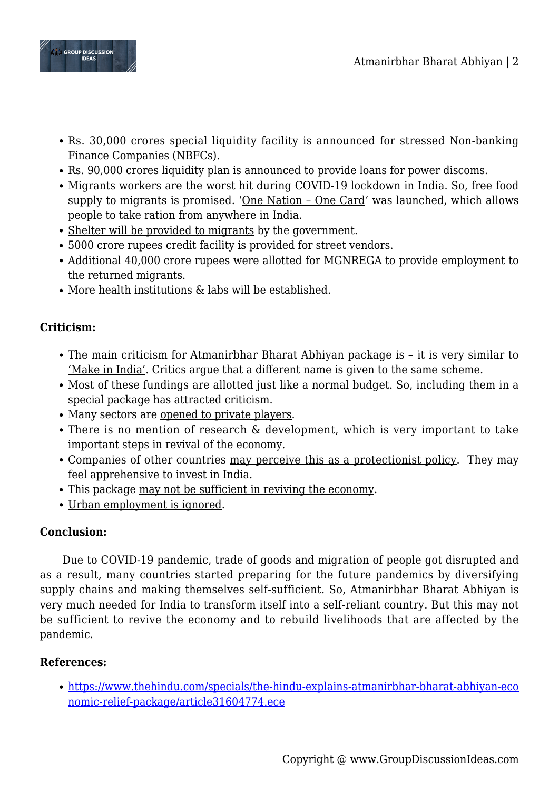

- Rs. 30,000 crores special liquidity facility is announced for stressed Non-banking Finance Companies (NBFCs).
- Rs. 90,000 crores liquidity plan is announced to provide loans for power discoms.
- Migrants workers are the worst hit during COVID-19 lockdown in India. So, free food supply to migrants is promised. 'One Nation – One Card' was launched, which allows people to take ration from anywhere in India.
- Shelter will be provided to migrants by the government.
- 5000 crore rupees credit facility is provided for street vendors.
- Additional 40,000 crore rupees were allotted for MGNREGA to provide employment to the returned migrants.
- More health institutions & labs will be established.

# **Criticism:**

- The main criticism for Atmanirbhar Bharat Abhiyan package is it is very similar to 'Make in India'. Critics argue that a different name is given to the same scheme.
- Most of these fundings are allotted just like a normal budget. So, including them in a special package has attracted criticism.
- Many sectors are opened to private players.
- There is no mention of research & development, which is very important to take important steps in revival of the economy.
- Companies of other countries may perceive this as a protectionist policy. They may feel apprehensive to invest in India.
- This package may not be sufficient in reviving the economy.
- Urban employment is ignored.

### **Conclusion:**

Due to COVID-19 pandemic, trade of goods and migration of people got disrupted and as a result, many countries started preparing for the future pandemics by diversifying supply chains and making themselves self-sufficient. So, Atmanirbhar Bharat Abhiyan is very much needed for India to transform itself into a self-reliant country. But this may not be sufficient to revive the economy and to rebuild livelihoods that are affected by the pandemic.

# **References:**

[https://www.thehindu.com/specials/the-hindu-explains-atmanirbhar-bharat-abhiyan-eco](https://www.thehindu.com/specials/the-hindu-explains-atmanirbhar-bharat-abhiyan-economic-relief-package/article31604774.ece) [nomic-relief-package/article31604774.ece](https://www.thehindu.com/specials/the-hindu-explains-atmanirbhar-bharat-abhiyan-economic-relief-package/article31604774.ece)